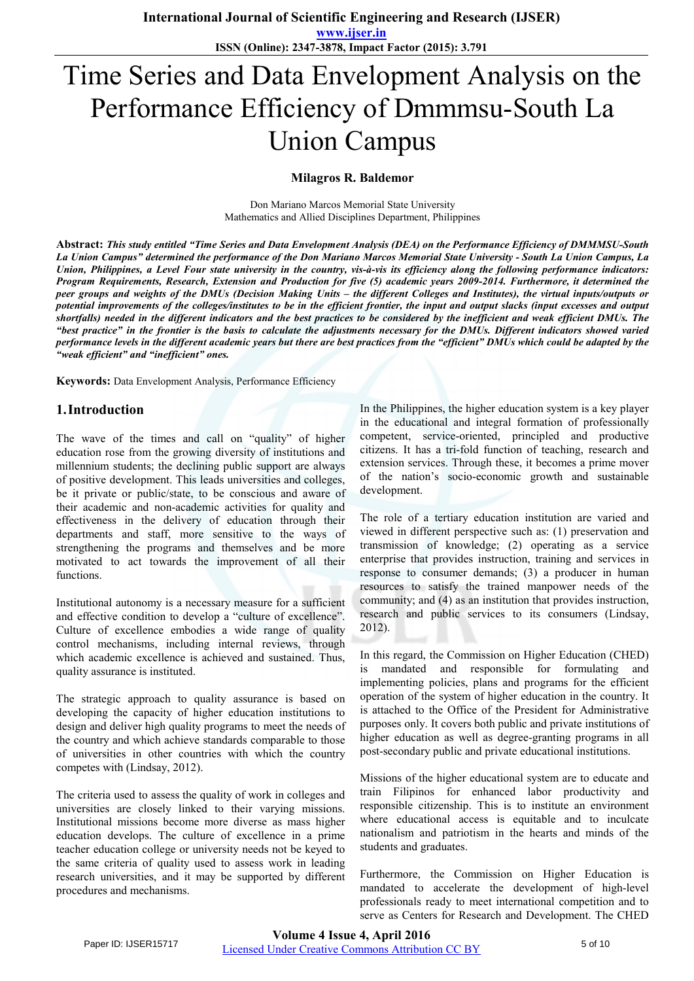**ISSN (Online): 2347-3878, Impact Factor (2015): 3.791**

# Time Series and Data Envelopment Analysis on the Performance Efficiency of Dmmmsu-South La Union Campus

#### **Milagros R. Baldemor**

Don Mariano Marcos Memorial State University Mathematics and Allied Disciplines Department, Philippines

**Abstract:** *This study entitled "Time Series and Data Envelopment Analysis (DEA) on the Performance Efficiency of DMMMSU-South La Union Campus" determined the performance of the Don Mariano Marcos Memorial State University - South La Union Campus, La Union, Philippines, a Level Four state university in the country, vis-à-vis its efficiency along the following performance indicators: Program Requirements, Research, Extension and Production for five (5) academic years 2009-2014. Furthermore, it determined the peer groups and weights of the DMUs (Decision Making Units – the different Colleges and Institutes), the virtual inputs/outputs or potential improvements of the colleges/institutes to be in the efficient frontier, the input and output slacks (input excesses and output shortfalls) needed in the different indicators and the best practices to be considered by the inefficient and weak efficient DMUs. The "best practice" in the frontier is the basis to calculate the adjustments necessary for the DMUs. Different indicators showed varied performance levels in the different academic years but there are best practices from the "efficient" DMUs which could be adapted by the "weak efficient" and "inefficient" ones.*

**Keywords:** Data Envelopment Analysis, Performance Efficiency

#### **1.Introduction**

The wave of the times and call on "quality" of higher education rose from the growing diversity of institutions and millennium students; the declining public support are always of positive development. This leads universities and colleges, be it private or public/state, to be conscious and aware of their academic and non-academic activities for quality and effectiveness in the delivery of education through their departments and staff, more sensitive to the ways of strengthening the programs and themselves and be more motivated to act towards the improvement of all their functions.

Institutional autonomy is a necessary measure for a sufficient and effective condition to develop a "culture of excellence". Culture of excellence embodies a wide range of quality control mechanisms, including internal reviews, through which academic excellence is achieved and sustained. Thus, quality assurance is instituted.

The strategic approach to quality assurance is based on developing the capacity of higher education institutions to design and deliver high quality programs to meet the needs of the country and which achieve standards comparable to those of universities in other countries with which the country competes with (Lindsay, 2012).

The criteria used to assess the quality of work in colleges and universities are closely linked to their varying missions. Institutional missions become more diverse as mass higher education develops. The culture of excellence in a prime teacher education college or university needs not be keyed to the same criteria of quality used to assess work in leading research universities, and it may be supported by different procedures and mechanisms.

In the Philippines, the higher education system is a key player in the educational and integral formation of professionally competent, service-oriented, principled and productive citizens. It has a tri-fold function of teaching, research and extension services. Through these, it becomes a prime mover of the nation's socio-economic growth and sustainable development.

The role of a tertiary education institution are varied and viewed in different perspective such as: (1) preservation and transmission of knowledge; (2) operating as a service enterprise that provides instruction, training and services in response to consumer demands; (3) a producer in human resources to satisfy the trained manpower needs of the community; and (4) as an institution that provides instruction, research and public services to its consumers (Lindsay, 2012).

In this regard, the Commission on Higher Education (CHED) is mandated and responsible for formulating and implementing policies, plans and programs for the efficient operation of the system of higher education in the country. It is attached to the Office of the President for Administrative purposes only. It covers both public and private institutions of higher education as well as degree-granting programs in all post-secondary public and private educational institutions.

Missions of the higher educational system are to educate and train Filipinos for enhanced labor productivity and responsible citizenship. This is to institute an environment where educational access is equitable and to inculcate nationalism and patriotism in the hearts and minds of the students and graduates.

Furthermore, the Commission on Higher Education is mandated to accelerate the development of high-level professionals ready to meet international competition and to serve as Centers for Research and Development. The CHED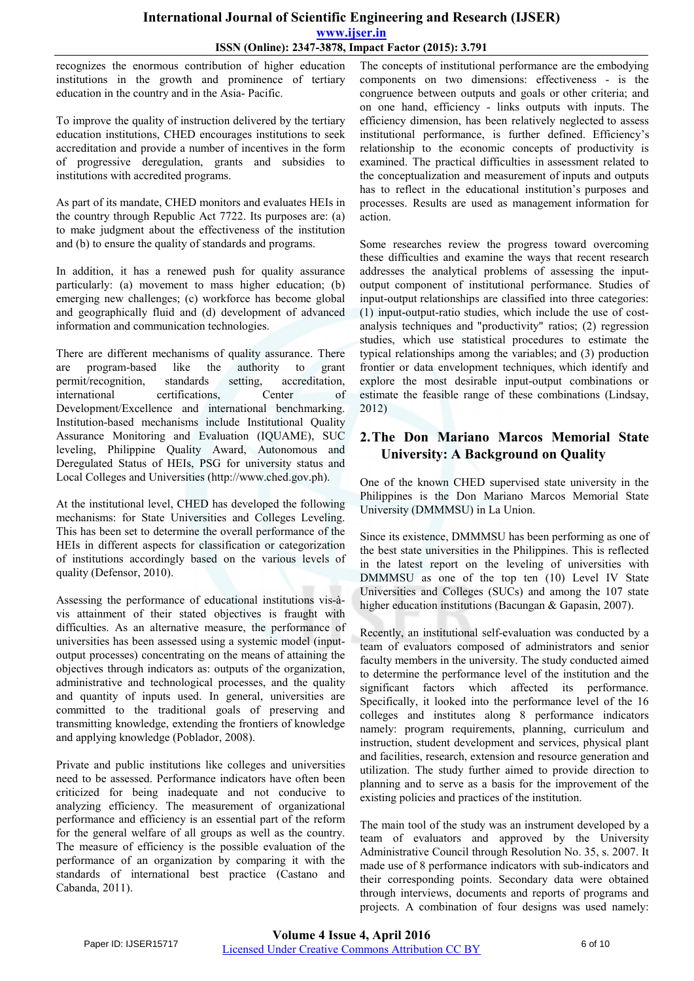#### **International Journal of Scientific Engineering and Research (IJSER) www.ijser.in ISSN (Online): 2347-3878, Impact Factor (2015): 3.791**

recognizes the enormous contribution of higher education institutions in the growth and prominence of tertiary education in the country and in the Asia- Pacific.

To improve the quality of instruction delivered by the tertiary education institutions, CHED encourages institutions to seek accreditation and provide a number of incentives in the form of progressive deregulation, grants and subsidies to institutions with accredited programs.

As part of its mandate, CHED monitors and evaluates HEIs in the country through Republic Act 7722. Its purposes are: (a) to make judgment about the effectiveness of the institution and (b) to ensure the quality of standards and programs.

In addition, it has a renewed push for quality assurance particularly: (a) movement to mass higher education; (b) emerging new challenges; (c) workforce has become global and geographically fluid and (d) development of advanced information and communication technologies.

There are different mechanisms of quality assurance. There are program-based like the authority to grant are program-based like the authority to grant permit/recognition, standards setting, accreditation, permit/recognition, standards setting, acc<br>international certifications, Center international certifications, Center of Development/Excellence and international benchmarking. Institution-based mechanisms include Institutional Quality Assurance Monitoring and Evaluation (IQUAME), SUC leveling, Philippine Quality Award, Autonomous and Deregulated Status of HEIs, PSG for university status and Local Colleges and Universities (http://www.ched.gov.ph).

At the institutional level, CHED has developed the following mechanisms: for State Universities and Colleges Leveling. This has been set to determine the overall performance of the HEIs in different aspects for classification or categorization of institutions accordingly based on the various levels of quality (Defensor, 2010).

Assessing the performance of educational institutions vis-àvis attainment of their stated objectives is fraught with difficulties. As an alternative measure, the performance of universities has been assessed using a systemic model (inputoutput processes) concentrating on the means of attaining the objectives through indicators as: outputs of the organization, administrative and technological processes, and the quality and quantity of inputs used. In general, universities are committed to the traditional goals of preserving and transmitting knowledge, extending the frontiers of knowledge and applying knowledge (Poblador, 2008).

Private and public institutions like colleges and universities need to be assessed. Performance indicators have often been criticized for being inadequate and not conducive to analyzing efficiency. The measurement of organizational performance and efficiency is an essential part of the reform for the general welfare of all groups as well as the country. The measure of efficiency is the possible evaluation of the performance of an organization by comparing it with the standards of international best practice (Castano and Cabanda, 2011).

The concepts of institutional performance are the embodying components on two dimensions: effectiveness - is the congruence between outputs and goals or other criteria; and on one hand, efficiency - links outputs with inputs. The efficiency dimension, has been relatively neglected to assess institutional performance, is further defined. Efficiency's relationship to the economic concepts of productivity is examined. The practical difficulties in assessment related to the conceptualization and measurement of inputs and outputs has to reflect in the educational institution's purposes and processes. Results are used as management information for action.

Some researches review the progress toward overcoming these difficulties and examine the ways that recent research addresses the analytical problems of assessing the inputoutput component of institutional performance. Studies of input-output relationships are classified into three categories: (1) input-output-ratio studies, which include the use of costanalysis techniques and "productivity" ratios; (2) regression studies, which use statistical procedures to estimate the typical relationships among the variables; and (3) production frontier or data envelopment techniques, which identify and explore the most desirable input-output combinations or estimate the feasible range of these combinations (Lindsay, 2012)

### **2.The Don Mariano Marcos Memorial State University: A Background on Quality**

One of the known CHED supervised state university in the Philippines is the Don Mariano Marcos Memorial State University (DMMMSU) in La Union.

Since its existence, DMMMSU has been performing as one of the best state universities in the Philippines. This is reflected in the latest report on the leveling of universities with DMMMSU as one of the top ten (10) Level IV State Universities and Colleges (SUCs) and among the 107 state higher education institutions (Bacungan & Gapasin, 2007).

Recently, an institutional self-evaluation was conducted by a team of evaluators composed of administrators and senior faculty members in the university. The study conducted aimed to determine the performance level of the institution and the significant factors which affected its performance. Specifically, it looked into the performance level of the 16 colleges and institutes along 8 performance indicators namely: program requirements, planning, curriculum and instruction, student development and services, physical plant and facilities, research, extension and resource generation and utilization. The study further aimed to provide direction to planning and to serve as a basis for the improvement of the existing policies and practices of the institution.

The main tool of the study was an instrument developed by a team of evaluators and approved by the University Administrative Council through Resolution No. 35, s. 2007. It made use of 8 performance indicators with sub-indicators and their corresponding points. Secondary data were obtained through interviews, documents and reports of programs and projects. A combination of four designs was used namely: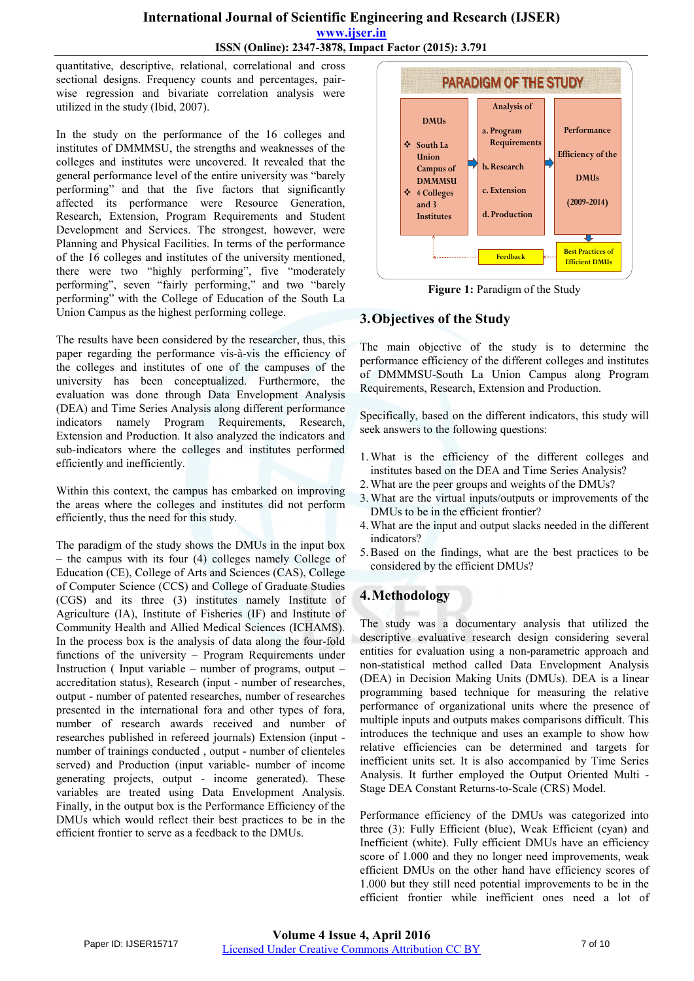#### **International Journal of Scientific Engineering and Research (IJSER) www.ijser.in ISSN (Online): 2347-3878, Impact Factor (2015): 3.791**

quantitative, descriptive, relational, correlational and cross sectional designs. Frequency counts and percentages, pairwise regression and bivariate correlation analysis were utilized in the study (Ibid, 2007).

In the study on the performance of the 16 colleges and institutes of DMMMSU, the strengths and weaknesses of the colleges and institutes were uncovered. It revealed that the general performance level of the entire university was "barely performing" and that the five factors that significantly affected its performance were Resource Generation, Research, Extension, Program Requirements and Student Development and Services. The strongest, however, were Planning and Physical Facilities. In terms of the performance of the 16 colleges and institutes of the university mentioned, there were two "highly performing", five "moderately performing", seven "fairly performing," and two "barely performing" with the College of Education of the South La Union Campus as the highest performing college.

The results have been considered by the researcher, thus, this paper regarding the performance vis-à-vis the efficiency of the colleges and institutes of one of the campuses of the university has been conceptualized. Furthermore, the evaluation was done through Data Envelopment Analysis (DEA) and Time Series Analysis along different performance indicators namely Program Requirements, Research, Extension and Production. It also analyzed the indicators and sub-indicators where the colleges and institutes performed efficiently and inefficiently.

Within this context, the campus has embarked on improving the areas where the colleges and institutes did not perform efficiently, thus the need for this study.

The paradigm of the study shows the DMUs in the input box – the campus with its four (4) colleges namely College of Education (CE), College of Arts and Sciences (CAS), College of Computer Science (CCS) and College of Graduate Studies (CGS) and its three (3) institutes namely Institute of Agriculture (IA), Institute of Fisheries (IF) and Institute of Community Health and Allied Medical Sciences (ICHAMS). In the process box is the analysis of data along the four-fold functions of the university – Program Requirements under Instruction ( Input variable – number of programs, output – accreditation status), Research (input - number of researches, output - number of patented researches, number of researches presented in the international fora and other types of fora, number of research awards received and number of researches published in refereed journals) Extension (input number of trainings conducted , output - number of clienteles served) and Production (input variable- number of income generating projects, output - income generated). These variables are treated using Data Envelopment Analysis. Finally, in the output box is the Performance Efficiency of the DMUs which would reflect their best practices to be in the efficient frontier to serve as a feedback to the DMUs.



**Figure 1:** Paradigm of the Study

## **3.Objectives of the Study**

The main objective of the study is to determine the performance efficiency of the different colleges and institutes of DMMMSU-South La Union Campus along Program Requirements, Research, Extension and Production.

Specifically, based on the different indicators, this study will seek answers to the following questions:

- 1.What is the efficiency of the different colleges and institutes based on the DEA and Time Series Analysis?
- 2.What are the peer groups and weights of the DMUs?
- 3.What are the virtual inputs/outputs or improvements of the DMUs to be in the efficient frontier?
- 4.What are the input and output slacks needed in the different indicators?
- 5.Based on the findings, what are the best practices to be considered by the efficient DMUs?

# **4.Methodology**

The study was a documentary analysis that utilized the descriptive evaluative research design considering several entities for evaluation using a non-parametric approach and non-statistical method called Data Envelopment Analysis (DEA) in Decision Making Units (DMUs). DEA is a linear programming based technique for measuring the relative performance of organizational units where the presence of multiple inputs and outputs makes comparisons difficult. This introduces the technique and uses an example to show how relative efficiencies can be determined and targets for inefficient units set. It is also accompanied by Time Series Analysis. It further employed the Output Oriented Multi - Stage DEA Constant Returns-to-Scale (CRS) Model.

Performance efficiency of the DMUs was categorized into three (3): Fully Efficient (blue), Weak Efficient (cyan) and Inefficient (white). Fully efficient DMUs have an efficiency score of 1.000 and they no longer need improvements, weak efficient DMUs on the other hand have efficiency scores of 1.000 but they still need potential improvements to be in the efficient frontier while inefficient ones need a lot of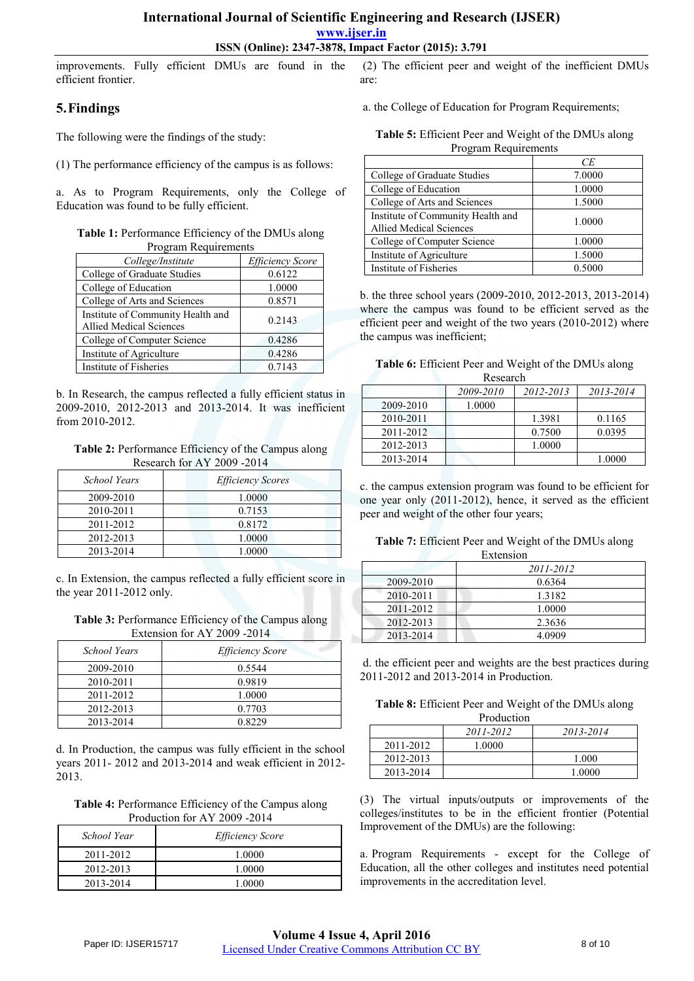#### **International Journal of Scientific Engineering and Research (IJSER)**

**www.ijser.in**

**ISSN (Online): 2347-3878, Impact Factor (2015): 3.791**

improvements. Fully efficient DMUs are found in the efficient frontier.

#### **5.Findings**

The following were the findings of the study:

(1) The performance efficiency of the campus is as follows:

a. As to Program Requirements, only the College of Education was found to be fully efficient.

| Table 1: Performance Efficiency of the DMUs along |  |
|---------------------------------------------------|--|
| Program Requirements                              |  |

| College/Institute                                                   | <b>Efficiency Score</b> |
|---------------------------------------------------------------------|-------------------------|
| College of Graduate Studies                                         | 0.6122                  |
| College of Education                                                | 1.0000                  |
| College of Arts and Sciences                                        | 0.8571                  |
| Institute of Community Health and<br><b>Allied Medical Sciences</b> | 0.2143                  |
| College of Computer Science                                         | 0.4286                  |
| Institute of Agriculture                                            | 0.4286                  |
| Institute of Fisheries                                              | 0.7143                  |

b. In Research, the campus reflected a fully efficient status in 2009-2010, 2012-2013 and 2013-2014. It was inefficient from 2010-2012.

**Table 2:** Performance Efficiency of the Campus along Research for AY 2009 -2014

| School Years | <b>Efficiency Scores</b> |
|--------------|--------------------------|
| 2009-2010    | 1.0000                   |
| 2010-2011    | 0.7153                   |
| 2011-2012    | 0.8172                   |
| 2012-2013    | 1.0000                   |
| 2013-2014    | 1.0000                   |

c. In Extension, the campus reflected a fully efficient score in the year 2011-2012 only.

**Table 3:** Performance Efficiency of the Campus along Extension for AY 2009 -2014

| School Years | <i>Efficiency Score</i> |
|--------------|-------------------------|
| 2009-2010    | 0.5544                  |
| 2010-2011    | 0.9819                  |
| 2011-2012    | 1.0000                  |
| 2012-2013    | 0.7703                  |
| 2013-2014    | 0.8229                  |

d. In Production, the campus was fully efficient in the school years 2011- 2012 and 2013-2014 and weak efficient in 2012- 2013.

**Table 4:** Performance Efficiency of the Campus along Production for AY 2009 -2014

| School Year | <i>Efficiency Score</i> |
|-------------|-------------------------|
| 2011-2012   | 1.0000                  |
| 2012-2013   | 1.0000                  |
| 2013-2014   | 1.0000                  |

 (2) The efficient peer and weight of the inefficient DMUs are:

a. the College of Education for Program Requirements;

| Table 5: Efficient Peer and Weight of the DMUs along |
|------------------------------------------------------|
| Program Requirements                                 |

|                                   | СE     |
|-----------------------------------|--------|
| College of Graduate Studies       | 7.0000 |
| College of Education              | 1.0000 |
| College of Arts and Sciences      | 1.5000 |
| Institute of Community Health and | 1.0000 |
| Allied Medical Sciences           |        |
| College of Computer Science       | 1.0000 |
| Institute of Agriculture          | 1.5000 |
| Institute of Fisheries            | 0.5000 |

b. the three school years (2009-2010, 2012-2013, 2013-2014) where the campus was found to be efficient served as the efficient peer and weight of the two years (2010-2012) where the campus was inefficient;

|  | Table 6: Efficient Peer and Weight of the DMUs along |  |  |  |
|--|------------------------------------------------------|--|--|--|
|--|------------------------------------------------------|--|--|--|

| Research  |           |           |           |  |
|-----------|-----------|-----------|-----------|--|
|           | 2009-2010 | 2012-2013 | 2013-2014 |  |
| 2009-2010 | 1.0000    |           |           |  |
| 2010-2011 |           | 1.3981    | 0.1165    |  |
| 2011-2012 |           | 0.7500    | 0.0395    |  |
| 2012-2013 |           | 1.0000    |           |  |
| 2013-2014 |           |           | 1.0000    |  |

c. the campus extension program was found to be efficient for one year only (2011-2012), hence, it served as the efficient peer and weight of the other four years;

| Table 7: Efficient Peer and Weight of the DMUs along |
|------------------------------------------------------|
| Extension                                            |

| еличногот |           |  |
|-----------|-----------|--|
|           | 2011-2012 |  |
| 2009-2010 | 0.6364    |  |
| 2010-2011 | 1.3182    |  |
| 2011-2012 | 1.0000    |  |
| 2012-2013 | 2.3636    |  |
| 2013-2014 | 4.0909    |  |

d. the efficient peer and weights are the best practices during 2011-2012 and 2013-2014 in Production.

**Table 8:** Efficient Peer and Weight of the DMUs along

| Production |           |           |  |
|------------|-----------|-----------|--|
|            | 2011-2012 | 2013-2014 |  |
| 2011-2012  | 1.0000    |           |  |
| 2012-2013  |           | 1.000     |  |
| 2013-2014  |           | 1.0000    |  |

(3) The virtual inputs/outputs or improvements of the colleges/institutes to be in the efficient frontier (Potential Improvement of the DMUs) are the following:

a. Program Requirements - except for the College of Education, all the other colleges and institutes need potential improvements in the accreditation level.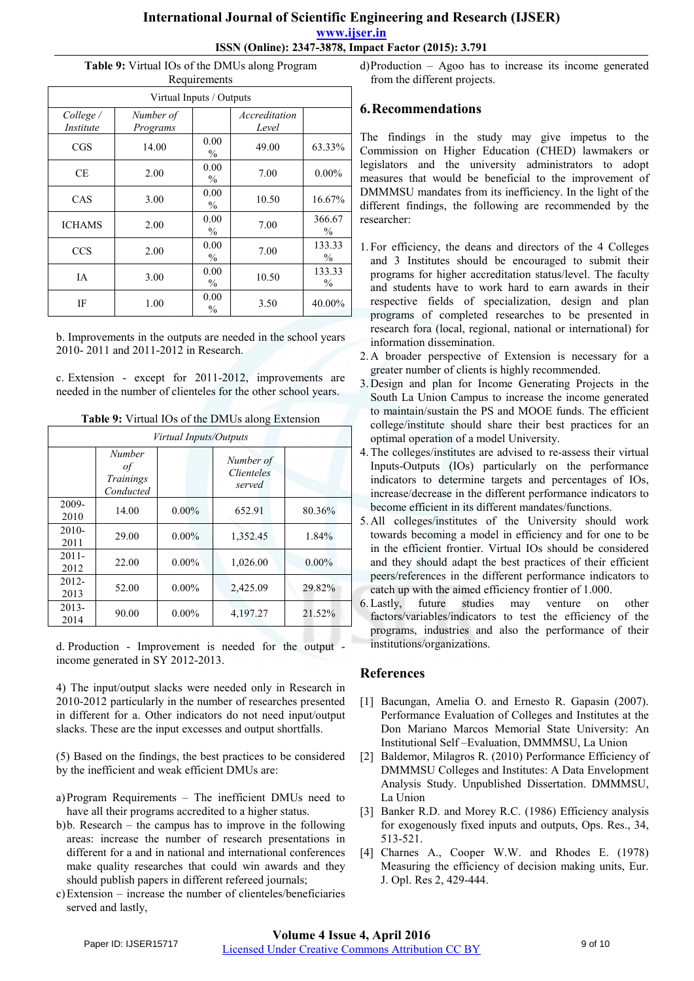#### **International Journal of Scientific Engineering and Research (IJSER) www.ijser.in ISSN (Online): 2347-3878, Impact Factor (2015): 3.791**

#### **Table 9:** Virtual IOs of the DMUs along Program

| Requirements             |                       |                       |                        |                         |  |  |
|--------------------------|-----------------------|-----------------------|------------------------|-------------------------|--|--|
| Virtual Inputs / Outputs |                       |                       |                        |                         |  |  |
| College /<br>Institute   | Number of<br>Programs |                       | Accreditation<br>Level |                         |  |  |
| CGS                      | 14.00                 | 0.00<br>$\frac{0}{0}$ | 49.00                  | 63.33%                  |  |  |
| CE.                      | 2.00                  | 0.00<br>$\frac{0}{0}$ | 7.00                   | $0.00\%$                |  |  |
| CAS                      | 3.00                  | 0.00<br>$\%$          | 10.50                  | 16.67%                  |  |  |
| <b>ICHAMS</b>            | 2.00                  | 0.00<br>$\%$          | 7.00                   | 366.67<br>$\%$          |  |  |
| <b>CCS</b>               | 2.00                  | 0.00<br>$\%$          | 7.00                   | 133.33<br>$\%$          |  |  |
| IΑ                       | 3.00                  | 0.00<br>$\frac{0}{0}$ | 10.50                  | 133.33<br>$\frac{0}{0}$ |  |  |
| IF                       | 1.00                  | 0.00<br>$\frac{0}{0}$ | 3.50                   | 40.00%                  |  |  |

b. Improvements in the outputs are needed in the school years 2010- 2011 and 2011-2012 in Research.

c. Extension - except for 2011-2012, improvements are needed in the number of clienteles for the other school years.

**Table 9:** Virtual IOs of the DMUs along Extension

| Virtual Inputs/Outputs |                                               |          |                                          |          |  |  |  |
|------------------------|-----------------------------------------------|----------|------------------------------------------|----------|--|--|--|
|                        | <b>Number</b><br>οf<br>Trainings<br>Conducted |          | Number of<br><i>Clienteles</i><br>served |          |  |  |  |
| 2009-<br>2010          | 14.00                                         | $0.00\%$ | 652.91                                   | 80.36%   |  |  |  |
| $2010-$<br>2011        | 29.00                                         | $0.00\%$ | 1,352.45                                 | 1.84%    |  |  |  |
| $2011 -$<br>2012       | 22.00                                         | $0.00\%$ | 1,026.00                                 | $0.00\%$ |  |  |  |
| $2012 -$<br>2013       | 52.00                                         | $0.00\%$ | 2,425.09                                 | 29.82%   |  |  |  |
| $2013 -$<br>2014       | 90.00                                         | $0.00\%$ | 4,197.27                                 | 21.52%   |  |  |  |

d. Production - Improvement is needed for the output income generated in SY 2012-2013.

4) The input/output slacks were needed only in Research in 2010-2012 particularly in the number of researches presented in different for a. Other indicators do not need input/output slacks. These are the input excesses and output shortfalls.

- (5) Based on the findings, the best practices to be considered by the inefficient and weak efficient DMUs are:
- a)Program Requirements The inefficient DMUs need to have all their programs accredited to a higher status.
- b)b. Research the campus has to improve in the following areas: increase the number of research presentations in different for a and in national and international conferences make quality researches that could win awards and they should publish papers in different refereed journals;
- c)Extension increase the number of clienteles/beneficiaries served and lastly,

d)Production – Agoo has to increase its income generated from the different projects.

# **6.Recommendations**

The findings in the study may give impetus to the Commission on Higher Education (CHED) lawmakers or legislators and the university administrators to adopt measures that would be beneficial to the improvement of DMMMSU mandates from its inefficiency. In the light of the different findings, the following are recommended by the researcher:

- 1. For efficiency, the deans and directors of the 4 Colleges and 3 Institutes should be encouraged to submit their programs for higher accreditation status/level. The faculty and students have to work hard to earn awards in their respective fields of specialization, design and plan programs of completed researches to be presented in research fora (local, regional, national or international) for information dissemination.
- 2. A broader perspective of Extension is necessary for a greater number of clients is highly recommended.
- 3. Design and plan for Income Generating Projects in the South La Union Campus to increase the income generated to maintain/sustain the PS and MOOE funds. The efficient college/institute should share their best practices for an optimal operation of a model University.
- 4.The colleges/institutes are advised to re-assess their virtual Inputs-Outputs (IOs) particularly on the performance indicators to determine targets and percentages of IOs, increase/decrease in the different performance indicators to become efficient in its different mandates/functions.
- 5. All colleges/institutes of the University should work towards becoming a model in efficiency and for one to be in the efficient frontier. Virtual IOs should be considered and they should adapt the best practices of their efficient peers/references in the different performance indicators to catch up with the aimed efficiency frontier of 1.000.
- 6.Lastly, future studies may venture on other factors/variables/indicators to test the efficiency of the programs, industries and also the performance of their institutions/organizations.

## **References**

- [1] Bacungan, Amelia O. and Ernesto R. Gapasin (2007). Performance Evaluation of Colleges and Institutes at the Don Mariano Marcos Memorial State University: An Institutional Self –Evaluation, DMMMSU, La Union
- [2] Baldemor, Milagros R. (2010) Performance Efficiency of DMMMSU Colleges and Institutes: A Data Envelopment Analysis Study. Unpublished Dissertation. DMMMSU, La Union
- [3] Banker R.D. and Morey R.C. (1986) Efficiency analysis for exogenously fixed inputs and outputs, Ops. Res., 34, 513-521.
- [4] Charnes A., Cooper W.W. and Rhodes E. (1978) Measuring the efficiency of decision making units, Eur. J. Opl. Res 2, 429-444.